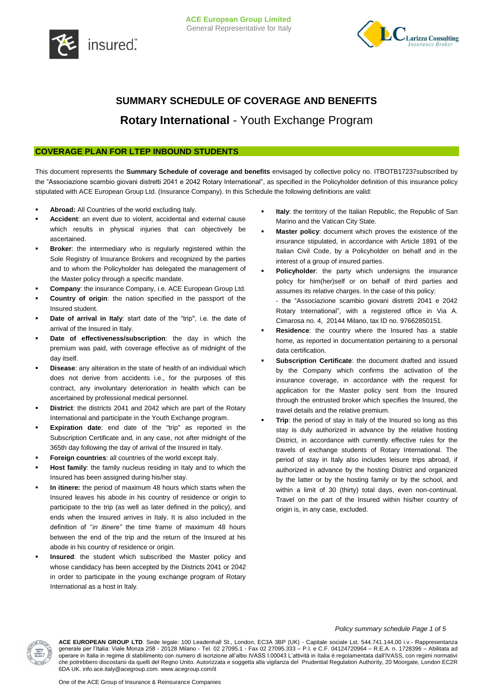



# **SUMMARY SCHEDULE OF COVERAGE AND BENEFITS Rotary International** - Youth Exchange Program

# **COVERAGE PLAN FOR LTEP INBOUND STUDENTS**

This document represents the **Summary Schedule of coverage and benefits** envisaged by collective policy no. ITBOTB17237subscribed by the "Associazione scambio giovani distretti 2041 e 2042 Rotary International", as specified in the Policyholder definition of this insurance policy stipulated with ACE European Group Ltd. (Insurance Company). In this Schedule the following definitions are valid:

- **Abroad:** All Countries of the world excluding Italy.
- **Accident**: an event due to violent, accidental and external cause which results in physical injuries that can objectively be ascertained.
- **Broker**: the intermediary who is regularly registered within the Sole Registry of Insurance Brokers and recognized by the parties and to whom the Policyholder has delegated the management of the Master policy through a specific mandate.
- **Company**: the insurance Company, i.e. ACE European Group Ltd.
- **Country of origin**: the nation specified in the passport of the Insured student.
- **Date of arrival in Italy**: start date of the "trip", i.e. the date of arrival of the Insured in Italy.
- **Date of effectiveness/subscription**: the day in which the premium was paid, with coverage effective as of midnight of the day itself.
- **Disease**: any alteration in the state of health of an individual which does not derive from accidents i.e., for the purposes of this contract, any involuntary deterioration in health which can be ascertained by professional medical personnel.
- **District**: the districts 2041 and 2042 which are part of the Rotary International and participate in the Youth Exchange program.
- **Expiration date**: end date of the "trip" as reported in the Subscription Certificate and, in any case, not after midnight of the 365th day following the day of arrival of the Insured in Italy.
- **Foreign countries**: all countries of the world except Italy.
- **Host family**: the family nucleus residing in Italy and to which the Insured has been assigned during his/her stay.
- **In itinere:** the period of maximum 48 hours which starts when the Insured leaves his abode in his country of residence or origin to participate to the trip (as well as later defined in the policy), and ends when the Insured arrives in Italy. It is also included in the definition of "*in itinere"* the time frame of maximum 48 hours between the end of the trip and the return of the Insured at his abode in his country of residence or origin.
- **Insured**: the student which subscribed the Master policy and whose candidacy has been accepted by the Districts 2041 or 2042 in order to participate in the young exchange program of Rotary International as a host in Italy.
- **Italy**: the territory of the Italian Republic, the Republic of San Marino and the Vatican City State.
- **Master policy**: document which proves the existence of the insurance stipulated, in accordance with Article 1891 of the Italian Civil Code, by a Policyholder on behalf and in the interest of a group of insured parties.
- **Policyholder**: the party which undersigns the insurance policy for him(her)self or on behalf of third parties and assumes its relative charges. In the case of this policy: - the "Associazione scambio giovani distretti 2041 e 2042 Rotary International", with a registered office in Via A. Cimarosa no. 4, 20144 Milano, tax ID no. 97662850151.
- **Residence**: the country where the Insured has a stable home, as reported in documentation pertaining to a personal data certification.
- **Subscription Certificate**: the document drafted and issued by the Company which confirms the activation of the insurance coverage, in accordance with the request for application for the Master policy sent from the Insured through the entrusted broker which specifies the Insured, the travel details and the relative premium.
- **Trip**: the period of stay in Italy of the Insured so long as this stay is duly authorized in advance by the relative hosting District, in accordance with currently effective rules for the travels of exchange students of Rotary International. The period of stay in Italy also includes leisure trips abroad, if authorized in advance by the hosting District and organized by the latter or by the hosting family or by the school, and within a limit of 30 (thirty) total days, even non-continual. Travel on the part of the Insured within his/her country of origin is, in any case, excluded.

### *Policy summary schedule Page 1 of 5*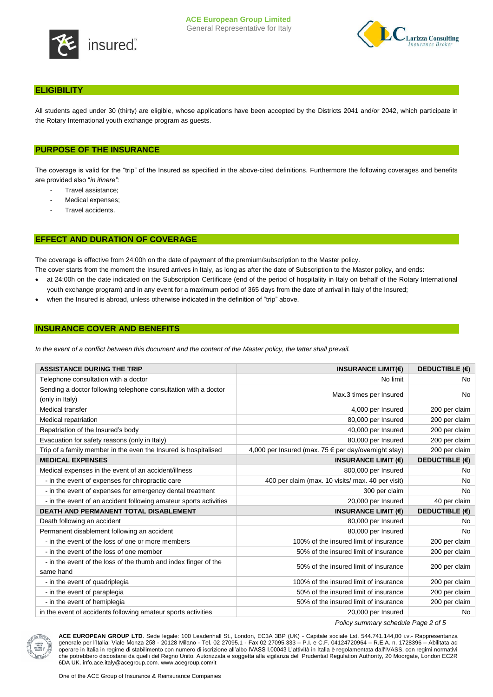

# **ELIGIBILITY**

All students aged under 30 (thirty) are eligible, whose applications have been accepted by the Districts 2041 and/or 2042, which participate in the Rotary International youth exchange program as guests.

# **PURPOSE OF THE INSURANCE**

The coverage is valid for the "trip" of the Insured as specified in the above-cited definitions. Furthermore the following coverages and benefits are provided also "*in itinere":*

- Travel assistance;
- Medical expenses;
- Travel accidents.

## **EFFECT AND DURATION OF COVERAGE**

The coverage is effective from 24:00h on the date of payment of the premium/subscription to the Master policy.

- at 24:00h on the date indicated on the Subscription Certificate (end of the period of hospitality in Italy on behalf of the Rotary International The cover starts from the moment the Insured arrives in Italy, as long as after the date of Subscription to the Master policy, and ends:
- youth exchange program) and in any event for a maximum period of 365 days from the date of arrival in Italy of the Insured;
- when the Insured is abroad, unless otherwise indicated in the definition of "trip" above.

# **INSURANCE COVER AND BENEFITS**

In the event of a conflict between this document and the content of the Master policy, the latter shall prevail.

| <b>ASSISTANCE DURING THE TRIP</b>                                                  | INSURANCE LIMIT( $\epsilon$ )                                 | DEDUCTIBLE $(\epsilon)$ |
|------------------------------------------------------------------------------------|---------------------------------------------------------------|-------------------------|
| Telephone consultation with a doctor                                               | No limit                                                      | No.                     |
| Sending a doctor following telephone consultation with a doctor<br>(only in Italy) | Max.3 times per Insured                                       | <b>No</b>               |
| Medical transfer                                                                   | 4,000 per Insured                                             | 200 per claim           |
| Medical repatriation                                                               | 80,000 per Insured                                            | 200 per claim           |
| Repatriation of the Insured's body                                                 | 40,000 per Insured                                            | 200 per claim           |
| Evacuation for safety reasons (only in Italy)                                      | 80,000 per Insured                                            | 200 per claim           |
| Trip of a family member in the even the Insured is hospitalised                    | 4,000 per Insured (max. 75 $\epsilon$ per day/overnight stay) | 200 per claim           |
| <b>MEDICAL EXPENSES</b>                                                            | INSURANCE LIMIT $(6)$                                         | <b>DEDUCTIBLE (€)</b>   |
| Medical expenses in the event of an accident/illness                               | 800,000 per Insured                                           | No.                     |
| - in the event of expenses for chiropractic care                                   | 400 per claim (max. 10 visits/ max. 40 per visit)             | <b>No</b>               |
| - in the event of expenses for emergency dental treatment                          | 300 per claim                                                 | <b>No</b>               |
| - in the event of an accident following amateur sports activities                  | 20,000 per Insured                                            | 40 per claim            |
| <b>DEATH AND PERMANENT TOTAL DISABLEMENT</b>                                       | <b>INSURANCE LIMIT (€)</b>                                    | <b>DEDUCTIBLE (€)</b>   |
| Death following an accident                                                        | 80,000 per Insured                                            | No.                     |
| Permanent disablement following an accident                                        | 80,000 per Insured                                            | <b>No</b>               |
| - in the event of the loss of one or more members                                  | 100% of the insured limit of insurance                        | 200 per claim           |
| - in the event of the loss of one member                                           | 50% of the insured limit of insurance                         | 200 per claim           |
| - in the event of the loss of the thumb and index finger of the<br>same hand       | 50% of the insured limit of insurance                         | 200 per claim           |
| - in the event of quadriplegia                                                     | 100% of the insured limit of insurance                        | 200 per claim           |
| - in the event of paraplegia                                                       | 50% of the insured limit of insurance                         | 200 per claim           |
| - in the event of hemiplegia                                                       | 50% of the insured limit of insurance                         | 200 per claim           |
| in the event of accidents following amateur sports activities                      | 20,000 per Insured                                            | No.                     |

*Policy summary schedule Page 2 of 5*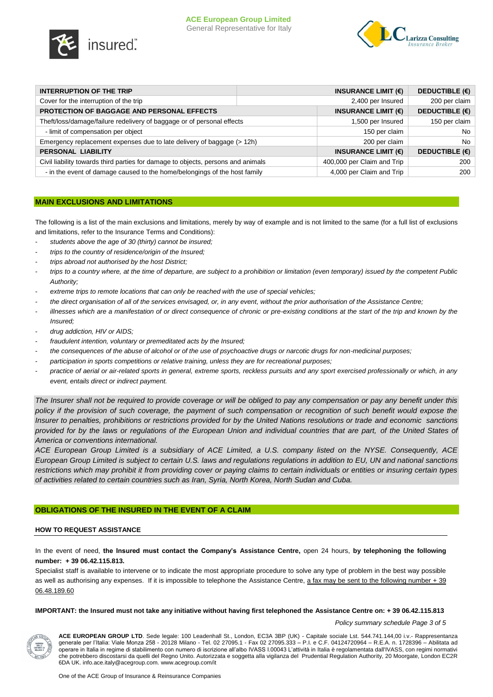



| INTERRUPTION OF THE TRIP                                                         |  | INSURANCE LIMIT $(\epsilon)$ | DEDUCTIBLE $(\epsilon)$ |
|----------------------------------------------------------------------------------|--|------------------------------|-------------------------|
| Cover for the interruption of the trip                                           |  | 2,400 per Insured            | 200 per claim           |
| <b>PROTECTION OF BAGGAGE AND PERSONAL EFFECTS</b>                                |  | INSURANCE LIMIT $(\epsilon)$ | <b>DEDUCTIBLE (€)</b>   |
| Theft/loss/damage/failure redelivery of baggage or of personal effects           |  | 1,500 per Insured            | 150 per claim           |
| - limit of compensation per object                                               |  | 150 per claim                | No.                     |
| Emergency replacement expenses due to late delivery of baggage (> 12h)           |  | 200 per claim                | No.                     |
| PERSONAL LIABILITY                                                               |  | INSURANCE LIMIT $(\epsilon)$ | <b>DEDUCTIBLE (€)</b>   |
| Civil liability towards third parties for damage to objects, persons and animals |  | 400,000 per Claim and Trip   | 200                     |
| - in the event of damage caused to the home/belongings of the host family        |  | 4,000 per Claim and Trip     | 200                     |

# **MAIN EXCLUSIONS AND LIMITATIONS**

The following is a list of the main exclusions and limitations, merely by way of example and is not limited to the same (for a full list of exclusions and limitations, refer to the Insurance Terms and Conditions):

- students above the age of 30 (thirty) cannot be insured;
- *trips to the country of residence/origin of the Insured;*
- *trips abroad not authorised by the host District;*
- *trips to a country where, at the time of departure, are subject to a prohibition or limitation (even temporary) issued by the competent Public Authority;*
- *extreme trips to remote locations that can only be reached with the use of special vehicles;*
- *the direct organisation of all of the services envisaged, or, in any event, without the prior authorisation of the Assistance Centre;*
- *illnesses which are a manifestation of or direct consequence of chronic or pre-existing conditions at the start of the trip and known by the Insured;*
- *drug addiction, HIV or AIDS;*
- *fraudulent intention, voluntary or premeditated acts by the Insured;*
- *the consequences of the abuse of alcohol or of the use of psychoactive drugs or narcotic drugs for non-medicinal purposes;*
- *participation in sports competitions or relative training, unless they are for recreational purposes;*
- practice of aerial or air-related sports in general, extreme sports, reckless pursuits and any sport exercised professionally or which, in any *event, entails direct or indirect payment.*

*The Insurer shall not be required to provide coverage or will be obliged to pay any compensation or pay any benefit under this policy if the provision of such coverage, the payment of such compensation or recognition of such benefit would expose the Insurer to penalties, prohibitions or restrictions provided for by the United Nations resolutions or trade and economic sanctions provided for by the laws or regulations of the European Union and individual countries that are part, of the United States of America or conventions international.*

*ACE European Group Limited is a subsidiary of ACE Limited, a U.S. company listed on the NYSE. Consequently, ACE European Group Limited is subject to certain U.S. laws and regulations regulations in addition to EU, UN and national sanctions restrictions which may prohibit it from providing cover or paying claims to certain individuals or entities or insuring certain types of activities related to certain countries such as Iran, Syria, North Korea, North Sudan and Cuba.*

## **OBLIGATIONS OF THE INSURED IN THE EVENT OF A CLAIM**

## **HOW TO REQUEST ASSISTANCE**

In the event of need, **the Insured must contact the Company's Assistance Centre,** open 24 hours, **by telephoning the following number: + 39 06.42.115.813.**

Specialist staff is available to intervene or to indicate the most appropriate procedure to solve any type of problem in the best way possible as well as authorising any expenses. If it is impossible to telephone the Assistance Centre, a fax may be sent to the following number + 39 06.48.189.60

**IMPORTANT: the Insured must not take any initiative without having first telephoned the Assistance Centre on: + 39 06.42.115.813**

*Policy summary schedule Page 3 of 5*

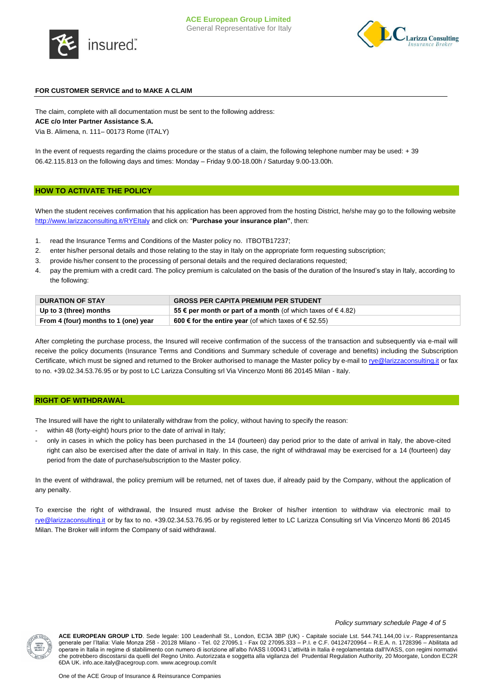



## **FOR CUSTOMER SERVICE and to MAKE A CLAIM**

The claim, complete with all documentation must be sent to the following address:

## **ACE c/o Inter Partner Assistance S.A.**

Via B. Alimena, n. 111– 00173 Rome (ITALY)

In the event of requests regarding the claims procedure or the status of a claim, the following telephone number may be used: + 39 06.42.115.813 on the following days and times: Monday – Friday 9.00-18.00h / Saturday 9.00-13.00h.

### **HOW TO ACTIVATE THE POLICY**

When the student receives confirmation that his application has been approved from the hosting District, he/she may go to the following website <http://www.larizzaconsulting.it/RYEItaly> and click on: "**Purchase your insurance plan"**, then:

- 1. read the Insurance Terms and Conditions of the Master policy no. ITBOTB17237;
- 2. enter his/her personal details and those relating to the stay in Italy on the appropriate form requesting subscription;
- 3. provide his/her consent to the processing of personal details and the required declarations requested;
- 4. pay the premium with a credit card. The policy premium is calculated on the basis of the duration of the Insured's stay in Italy, according to the following:

| <b>DURATION OF STAY</b>              | <b>GROSS PER CAPITA PREMIUM PER STUDENT</b>                      |
|--------------------------------------|------------------------------------------------------------------|
| Up to 3 (three) months               | 55 € per month or part of a month (of which taxes of $\in$ 4.82) |
| From 4 (four) months to 1 (one) year | <b>600 € for the entire year</b> (of which taxes of € 52.55)     |

After completing the purchase process, the Insured will receive confirmation of the success of the transaction and subsequently via e-mail will receive the policy documents (Insurance Terms and Conditions and Summary schedule of coverage and benefits) including the Subscription Certificate, which must be signed and returned to the Broker authorised to manage the Master policy by e-mail t[o rye@larizzaconsulting.it](mailto:rye@larizzaconsulting.it) or fax to no. +39.02.34.53.76.95 or by post to LC Larizza Consulting srl Via Vincenzo Monti 86 20145 Milan - Italy.

#### **RIGHT OF WITHDRAWAL**

The Insured will have the right to unilaterally withdraw from the policy, without having to specify the reason:

- within 48 (forty-eight) hours prior to the date of arrival in Italy;
- only in cases in which the policy has been purchased in the 14 (fourteen) day period prior to the date of arrival in Italy, the above-cited right can also be exercised after the date of arrival in Italy. In this case, the right of withdrawal may be exercised for a 14 (fourteen) day period from the date of purchase/subscription to the Master policy.

In the event of withdrawal, the policy premium will be returned, net of taxes due, if already paid by the Company, without the application of any penalty.

To exercise the right of withdrawal, the Insured must advise the Broker of his/her intention to withdraw via electronic mail to [rye@larizzaconsulting.it](mailto:rye@larizzaconsulting.it) or by fax to no. +39.02.34.53.76.95 or by registered letter to LC Larizza Consulting srl Via Vincenzo Monti 86 20145 Milan. The Broker will inform the Company of said withdrawal.

#### *Policy summary schedule Page 4 of 5*